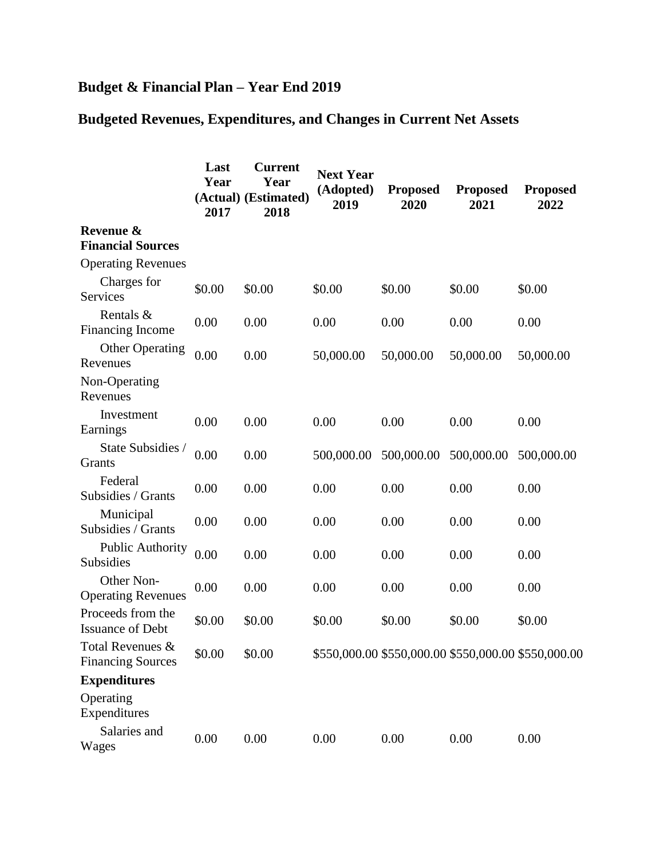## **Budget & Financial Plan – Year End 2019**

## **Budgeted Revenues, Expenditures, and Changes in Current Net Assets**

|                                              | Last<br>Year<br>2017 | <b>Current</b><br>Year<br>(Actual) (Estimated)<br>2018 | <b>Next Year</b><br>(Adopted)<br>2019 | <b>Proposed</b><br>2020                             | <b>Proposed</b><br>2021 | <b>Proposed</b><br>2022 |
|----------------------------------------------|----------------------|--------------------------------------------------------|---------------------------------------|-----------------------------------------------------|-------------------------|-------------------------|
| Revenue &<br><b>Financial Sources</b>        |                      |                                                        |                                       |                                                     |                         |                         |
| <b>Operating Revenues</b>                    |                      |                                                        |                                       |                                                     |                         |                         |
| Charges for<br>Services                      | \$0.00               | \$0.00                                                 | \$0.00                                | \$0.00                                              | \$0.00                  | \$0.00                  |
| Rentals &<br><b>Financing Income</b>         | 0.00                 | 0.00                                                   | 0.00                                  | 0.00                                                | 0.00                    | 0.00                    |
| <b>Other Operating</b><br>Revenues           | 0.00                 | 0.00                                                   | 50,000.00                             | 50,000.00                                           | 50,000.00               | 50,000.00               |
| Non-Operating<br>Revenues                    |                      |                                                        |                                       |                                                     |                         |                         |
| Investment<br>Earnings                       | 0.00                 | 0.00                                                   | 0.00                                  | 0.00                                                | 0.00                    | 0.00                    |
| State Subsidies /<br>Grants                  | 0.00                 | 0.00                                                   | 500,000.00                            | 500,000.00                                          | 500,000.00              | 500,000.00              |
| Federal<br>Subsidies / Grants                | 0.00                 | 0.00                                                   | 0.00                                  | 0.00                                                | 0.00                    | 0.00                    |
| Municipal<br>Subsidies / Grants              | 0.00                 | 0.00                                                   | 0.00                                  | 0.00                                                | 0.00                    | 0.00                    |
| <b>Public Authority</b><br>Subsidies         | 0.00                 | 0.00                                                   | 0.00                                  | 0.00                                                | 0.00                    | 0.00                    |
| Other Non-<br><b>Operating Revenues</b>      | 0.00                 | 0.00                                                   | 0.00                                  | 0.00                                                | 0.00                    | 0.00                    |
| Proceeds from the<br><b>Issuance of Debt</b> | \$0.00               | \$0.00                                                 | \$0.00                                | \$0.00                                              | \$0.00                  | \$0.00                  |
| Total Revenues &<br><b>Financing Sources</b> | \$0.00               | \$0.00                                                 |                                       | \$550,000.00 \$550,000.00 \$550,000.00 \$550,000.00 |                         |                         |
| <b>Expenditures</b>                          |                      |                                                        |                                       |                                                     |                         |                         |
| Operating<br>Expenditures                    |                      |                                                        |                                       |                                                     |                         |                         |
| Salaries and<br>Wages                        | 0.00                 | 0.00                                                   | 0.00                                  | 0.00                                                | 0.00                    | 0.00                    |